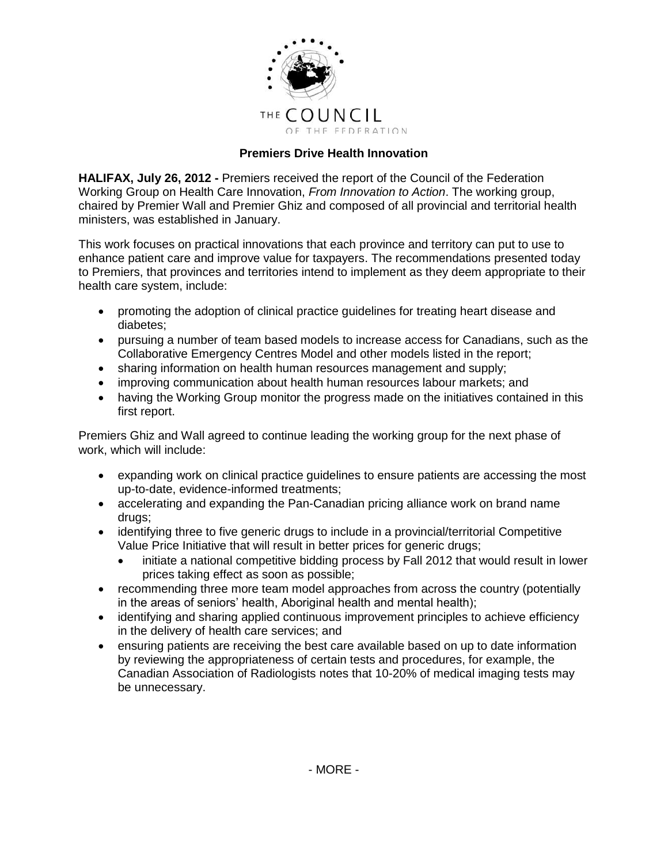

## **Premiers Drive Health Innovation**

**HALIFAX, July 26, 2012 -** Premiers received the report of the Council of the Federation Working Group on Health Care Innovation, *From Innovation to Action*. The working group, chaired by Premier Wall and Premier Ghiz and composed of all provincial and territorial health ministers, was established in January.

This work focuses on practical innovations that each province and territory can put to use to enhance patient care and improve value for taxpayers. The recommendations presented today to Premiers, that provinces and territories intend to implement as they deem appropriate to their health care system, include:

- promoting the adoption of clinical practice guidelines for treating heart disease and diabetes;
- pursuing a number of team based models to increase access for Canadians, such as the Collaborative Emergency Centres Model and other models listed in the report;
- sharing information on health human resources management and supply;
- improving communication about health human resources labour markets; and
- having the Working Group monitor the progress made on the initiatives contained in this first report.

Premiers Ghiz and Wall agreed to continue leading the working group for the next phase of work, which will include:

- expanding work on clinical practice guidelines to ensure patients are accessing the most up-to-date, evidence-informed treatments;
- accelerating and expanding the Pan-Canadian pricing alliance work on brand name drugs;
- identifying three to five generic drugs to include in a provincial/territorial Competitive Value Price Initiative that will result in better prices for generic drugs;
	- initiate a national competitive bidding process by Fall 2012 that would result in lower prices taking effect as soon as possible;
- recommending three more team model approaches from across the country (potentially in the areas of seniors' health, Aboriginal health and mental health);
- identifying and sharing applied continuous improvement principles to achieve efficiency in the delivery of health care services; and
- ensuring patients are receiving the best care available based on up to date information by reviewing the appropriateness of certain tests and procedures, for example, the Canadian Association of Radiologists notes that 10-20% of medical imaging tests may be unnecessary.